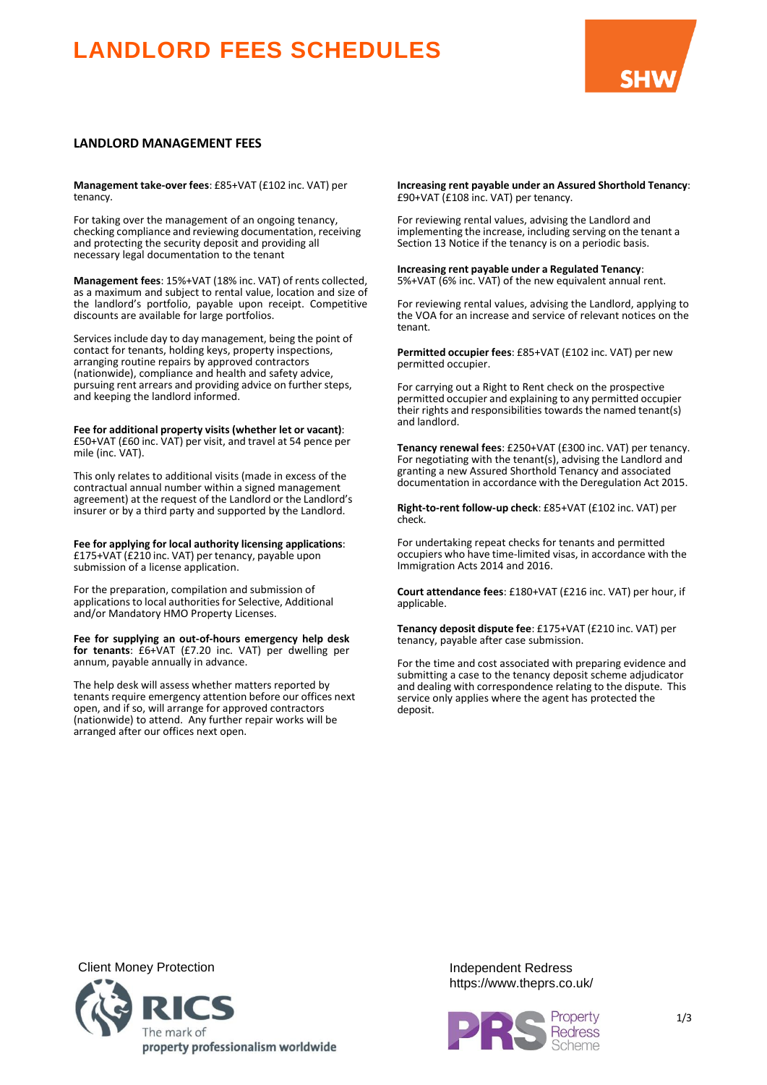# **LANDLORD FEES SCHEDULES**



## **LANDLORD MANAGEMENT FEES**

**Management take-over fees**: £85+VAT (£102 inc. VAT) per tenancy.

For taking over the management of an ongoing tenancy, checking compliance and reviewing documentation, receiving and protecting the security deposit and providing all necessary legal documentation to the tenant

**Management fees**: 15%+VAT (18% inc. VAT) of rents collected, as a maximum and subject to rental value, location and size of the landlord's portfolio, payable upon receipt. Competitive discounts are available for large portfolios.

Services include day to day management, being the point of contact for tenants, holding keys, property inspections, arranging routine repairs by approved contractors (nationwide), compliance and health and safety advice, pursuing rent arrears and providing advice on further steps, and keeping the landlord informed.

**Fee for additional property visits (whether let or vacant)**: £50+VAT (£60 inc. VAT) per visit, and travel at 54 pence per mile (inc. VAT).

This only relates to additional visits (made in excess of the contractual annual number within a signed management agreement) at the request of the Landlord or the Landlord's insurer or by a third party and supported by the Landlord.

**Fee for applying for local authority licensing applications**: £175+VAT (£210 inc. VAT) per tenancy, payable upon submission of a license application.

For the preparation, compilation and submission of applications to local authorities for Selective, Additional and/or Mandatory HMO Property Licenses.

**Fee for supplying an out-of-hours emergency help desk for tenants**: £6+VAT (£7.20 inc. VAT) per dwelling per annum, payable annually in advance.

The help desk will assess whether matters reported by tenants require emergency attention before our offices next open, and if so, will arrange for approved contractors (nationwide) to attend. Any further repair works will be arranged after our offices next open.

**Increasing rent payable under an Assured Shorthold Tenancy**: £90+VAT (£108 inc. VAT) per tenancy.

For reviewing rental values, advising the Landlord and implementing the increase, including serving on the tenant a Section 13 Notice if the tenancy is on a periodic basis.

**Increasing rent payable under a Regulated Tenancy**: 5%+VAT (6% inc. VAT) of the new equivalent annual rent.

For reviewing rental values, advising the Landlord, applying to the VOA for an increase and service of relevant notices on the tenant.

**Permitted occupier fees**: £85+VAT (£102 inc. VAT) per new permitted occupier.

For carrying out a Right to Rent check on the prospective permitted occupier and explaining to any permitted occupier their rights and responsibilities towards the named tenant(s) and landlord.

**Tenancy renewal fees**: £250+VAT (£300 inc. VAT) per tenancy. For negotiating with the tenant(s), advising the Landlord and granting a new Assured Shorthold Tenancy and associated documentation in accordance with the Deregulation Act 2015.

**Right-to-rent follow-up check**: £85+VAT (£102 inc. VAT) per check.

For undertaking repeat checks for tenants and permitted occupiers who have time-limited visas, in accordance with the Immigration Acts 2014 and 2016.

**Court attendance fees**: £180+VAT (£216 inc. VAT) per hour, if applicable.

**Tenancy deposit dispute fee**: £175+VAT (£210 inc. VAT) per tenancy, payable after case submission.

For the time and cost associated with preparing evidence and submitting a case to the tenancy deposit scheme adjudicator and dealing with correspondence relating to the dispute. This service only applies where the agent has protected the deposit.

Client Money Protection **Independent Redress** 



https://www.theprs.co.uk/

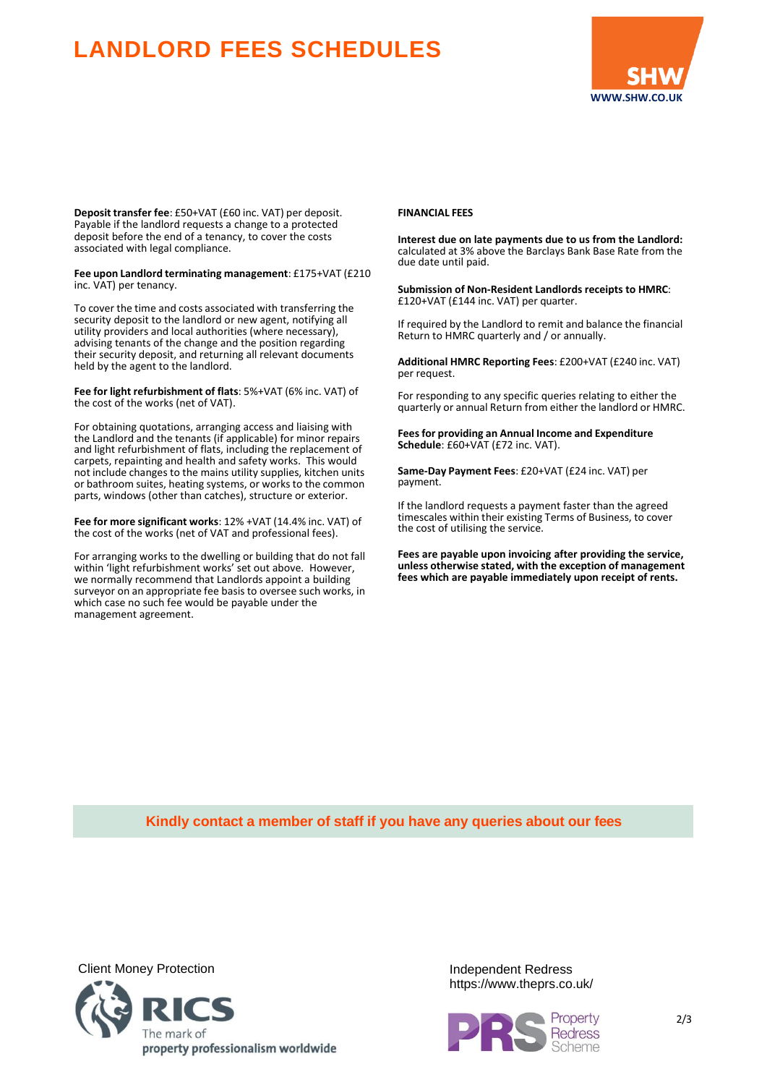## **LANDLORD FEES SCHEDULES**



**Deposit transfer fee**: £50+VAT (£60 inc. VAT) per deposit. Payable if the landlord requests a change to a protected deposit before the end of a tenancy, to cover the costs associated with legal compliance.

**Fee upon Landlord terminating management**: £175+VAT (£210 inc. VAT) per tenancy.

To cover the time and costs associated with transferring the security deposit to the landlord or new agent, notifying all utility providers and local authorities (where necessary), advising tenants of the change and the position regarding their security deposit, and returning all relevant documents held by the agent to the landlord.

**Fee for light refurbishment of flats**: 5%+VAT (6% inc. VAT) of the cost of the works (net of VAT).

For obtaining quotations, arranging access and liaising with the Landlord and the tenants (if applicable) for minor repairs and light refurbishment of flats, including the replacement of carpets, repainting and health and safety works. This would not include changes to the mains utility supplies, kitchen units or bathroom suites, heating systems, or works to the common parts, windows (other than catches), structure or exterior.

**Fee for more significant works**: 12% +VAT (14.4% inc. VAT) of the cost of the works (net of VAT and professional fees).

For arranging works to the dwelling or building that do not fall within 'light refurbishment works' set out above. However, we normally recommend that Landlords appoint a building surveyor on an appropriate fee basis to oversee such works, in which case no such fee would be payable under the management agreement.

### **FINANCIAL FEES**

**Interest due on late payments due to us from the Landlord:** calculated at 3% above the Barclays Bank Base Rate from the due date until paid.

**Submission of Non-Resident Landlords receipts to HMRC**: £120+VAT (£144 inc. VAT) per quarter.

If required by the Landlord to remit and balance the financial Return to HMRC quarterly and / or annually.

**Additional HMRC Reporting Fees**: £200+VAT (£240 inc. VAT) per request.

For responding to any specific queries relating to either the quarterly or annual Return from either the landlord or HMRC.

**Feesfor providing an Annual Income and Expenditure Schedule**: £60+VAT (£72 inc. VAT).

**Same-Day Payment Fees**: £20+VAT (£24 inc. VAT) per payment.

If the landlord requests a payment faster than the agreed timescales within their existing Terms of Business, to cover the cost of utilising the service.

**Fees are payable upon invoicing after providing the service, unless otherwise stated, with the exception of management fees which are payable immediately upon receipt of rents.**

**Kindly contact a member of staff if you have any queries about our fees**



https://www.theprs.co.uk/